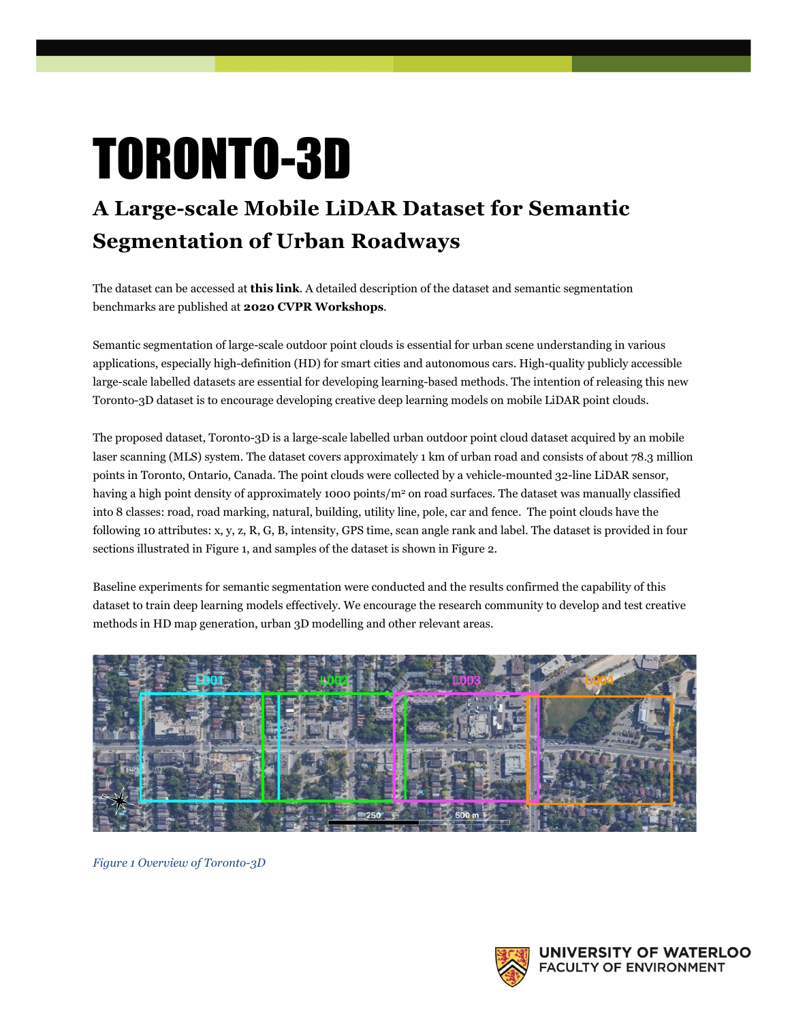## TORONTO-3D

## **A Large-scale Mobile LiDAR Dataset for Semantic Segmentation of Urban Roadways**

The dataset can be accessed at **[this link](https://github.com/WeikaiTan/Toronto-3D)**. A detailed description of the dataset and semantic segmentation benchmarks are published at **[2020 CVPR Workshops](http://openaccess.thecvf.com/content_CVPRW_2020/html/w11/Tan_Toronto-3D_A_Large-Scale_Mobile_LiDAR_Dataset_for_Semantic_Segmentation_of_CVPRW_2020_paper.html)**.

Semantic segmentation of large-scale outdoor point clouds is essential for urban scene understanding in various applications, especially high-definition (HD) for smart cities and autonomous cars. High-quality publicly accessible large-scale labelled datasets are essential for developing learning-based methods. The intention of releasing this new Toronto-3D dataset is to encourage developing creative deep learning models on mobile LiDAR point clouds.

The proposed dataset, Toronto-3D is a large-scale labelled urban outdoor point cloud dataset acquired by an mobile laser scanning (MLS) system. The dataset covers approximately 1 km of urban road and consists of about 78.3 million points in Toronto, Ontario, Canada. The point clouds were collected by a vehicle-mounted 32-line LiDAR sensor, having a high point density of approximately 1000 points/ $m<sup>2</sup>$  on road surfaces. The dataset was manually classified into 8 classes: road, road marking, natural, building, utility line, pole, car and fence. The point clouds have the following 10 attributes: x, y, z, R, G, B, intensity, GPS time, scan angle rank and label. The dataset is provided in four sections illustrated i[n Figure 1,](#page-0-0) and samples of the dataset is shown in [Figure 2.](#page-1-0)

Baseline experiments for semantic segmentation were conducted and the results confirmed the capability of this dataset to train deep learning models effectively. We encourage the research community to develop and test creative methods in HD map generation, urban 3D modelling and other relevant areas.



<span id="page-0-0"></span>*Figure 1 Overview of Toronto-3D*